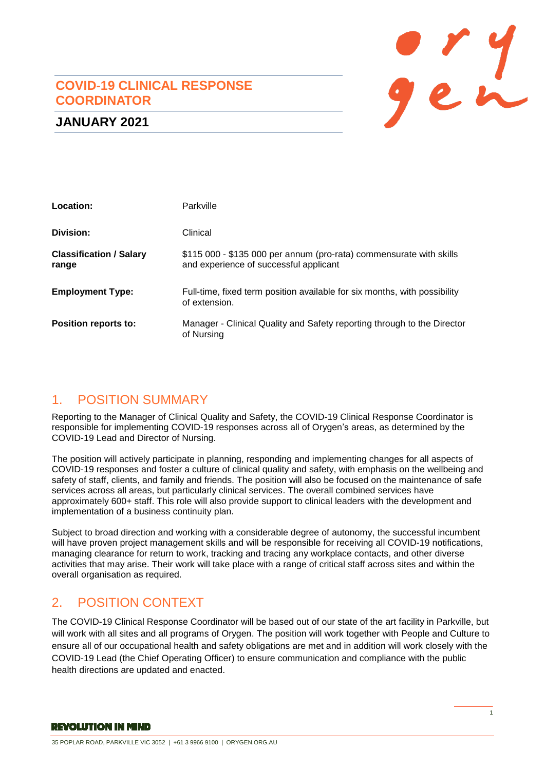### **COVID-19 CLINICAL RESPONSE COORDINATOR**



### **JANUARY 2021**

| Location:                               | Parkville                                                                                                     |
|-----------------------------------------|---------------------------------------------------------------------------------------------------------------|
| Division:                               | Clinical                                                                                                      |
| <b>Classification / Salary</b><br>range | \$115 000 - \$135 000 per annum (pro-rata) commensurate with skills<br>and experience of successful applicant |
| <b>Employment Type:</b>                 | Full-time, fixed term position available for six months, with possibility<br>of extension.                    |
| Position reports to:                    | Manager - Clinical Quality and Safety reporting through to the Director<br>of Nursing                         |

# 1. POSITION SUMMARY

Reporting to the Manager of Clinical Quality and Safety, the COVID-19 Clinical Response Coordinator is responsible for implementing COVID-19 responses across all of Orygen's areas, as determined by the COVID-19 Lead and Director of Nursing.

The position will actively participate in planning, responding and implementing changes for all aspects of COVID-19 responses and foster a culture of clinical quality and safety, with emphasis on the wellbeing and safety of staff, clients, and family and friends. The position will also be focused on the maintenance of safe services across all areas, but particularly clinical services. The overall combined services have approximately 600+ staff. This role will also provide support to clinical leaders with the development and implementation of a business continuity plan.

Subject to broad direction and working with a considerable degree of autonomy, the successful incumbent will have proven project management skills and will be responsible for receiving all COVID-19 notifications, managing clearance for return to work, tracking and tracing any workplace contacts, and other diverse activities that may arise. Their work will take place with a range of critical staff across sites and within the overall organisation as required.

# 2. POSITION CONTEXT

The COVID-19 Clinical Response Coordinator will be based out of our state of the art facility in Parkville, but will work with all sites and all programs of Orygen. The position will work together with People and Culture to ensure all of our occupational health and safety obligations are met and in addition will work closely with the COVID-19 Lead (the Chief Operating Officer) to ensure communication and compliance with the public health directions are updated and enacted.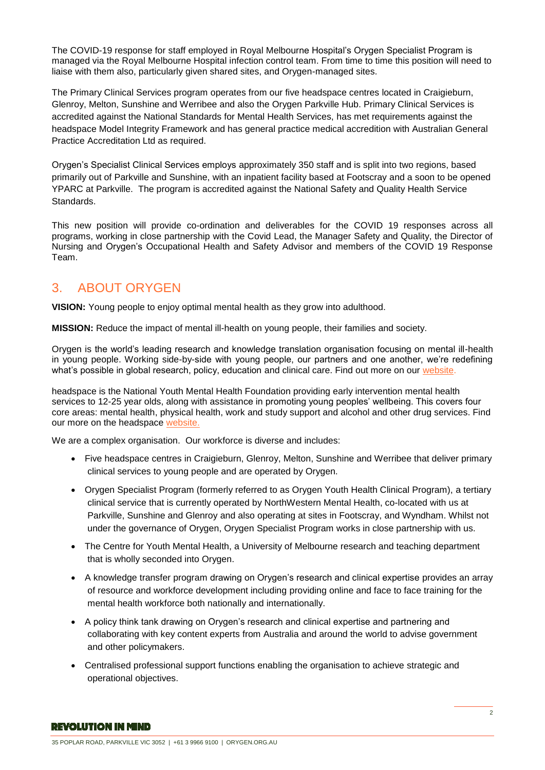The COVID-19 response for staff employed in Royal Melbourne Hospital's Orygen Specialist Program is managed via the Royal Melbourne Hospital infection control team. From time to time this position will need to liaise with them also, particularly given shared sites, and Orygen-managed sites.

The Primary Clinical Services program operates from our five headspace centres located in Craigieburn, Glenroy, Melton, Sunshine and Werribee and also the Orygen Parkville Hub. Primary Clinical Services is accredited against the National Standards for Mental Health Services, has met requirements against the headspace Model Integrity Framework and has general practice medical accredition with Australian General Practice Accreditation Ltd as required.

Orygen's Specialist Clinical Services employs approximately 350 staff and is split into two regions, based primarily out of Parkville and Sunshine, with an inpatient facility based at Footscray and a soon to be opened YPARC at Parkville. The program is accredited against the National Safety and Quality Health Service **Standards** 

This new position will provide co-ordination and deliverables for the COVID 19 responses across all programs, working in close partnership with the Covid Lead, the Manager Safety and Quality, the Director of Nursing and Orygen's Occupational Health and Safety Advisor and members of the COVID 19 Response Team.

### 3. ABOUT ORYGEN

**VISION:** Young people to enjoy optimal mental health as they grow into adulthood.

**MISSION:** Reduce the impact of mental ill-health on young people, their families and society.

Orygen is the world's leading research and knowledge translation organisation focusing on mental ill-health in young people. Working side-by-side with young people, our partners and one another, we're redefining what's possible in global research, policy, education and clinical care. Find out more on our [website.](https://www.orygen.org.au/About/About-Us)

headspace is the National Youth Mental Health Foundation providing early intervention mental health services to 12-25 year olds, along with assistance in promoting young peoples' wellbeing. This covers four core areas: mental health, physical health, work and study support and alcohol and other drug services. Find our more on the headspace [website.](https://headspace.org.au/about-us/who-we-are/)

We are a complex organisation. Our workforce is diverse and includes:

- Five headspace centres in Craigieburn, Glenroy, Melton, Sunshine and Werribee that deliver primary clinical services to young people and are operated by Orygen.
- Orygen Specialist Program (formerly referred to as Orygen Youth Health Clinical Program), a tertiary clinical service that is currently operated by NorthWestern Mental Health, co-located with us at Parkville, Sunshine and Glenroy and also operating at sites in Footscray, and Wyndham. Whilst not under the governance of Orygen, Orygen Specialist Program works in close partnership with us.
- The Centre for Youth Mental Health, a University of Melbourne research and teaching department that is wholly seconded into Orygen.
- A knowledge transfer program drawing on Orygen's research and clinical expertise provides an array of resource and workforce development including providing online and face to face training for the mental health workforce both nationally and internationally.
- A policy think tank drawing on Orygen's research and clinical expertise and partnering and collaborating with key content experts from Australia and around the world to advise government and other policymakers.
- Centralised professional support functions enabling the organisation to achieve strategic and operational objectives.

#### **REVOLUTION IN MIND**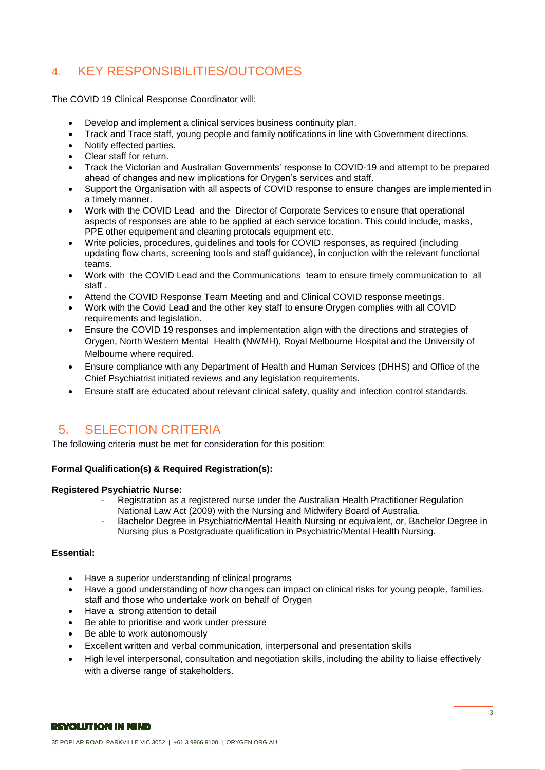# 4. KEY RESPONSIBILITIES/OUTCOMES

The COVID 19 Clinical Response Coordinator will:

- Develop and implement a clinical services business continuity plan.
- Track and Trace staff, young people and family notifications in line with Government directions.
- Notify effected parties.
- Clear staff for return.
- Track the Victorian and Australian Governments' response to COVID-19 and attempt to be prepared ahead of changes and new implications for Orygen's services and staff.
- Support the Organisation with all aspects of COVID response to ensure changes are implemented in a timely manner.
- Work with the COVID Lead and the Director of Corporate Services to ensure that operational aspects of responses are able to be applied at each service location. This could include, masks, PPE other equipement and cleaning protocals equipment etc.
- Write policies, procedures, guidelines and tools for COVID responses, as required (including updating flow charts, screening tools and staff guidance), in conjuction with the relevant functional teams.
- Work with the COVID Lead and the Communications team to ensure timely communication to all staff .
- Attend the COVID Response Team Meeting and and Clinical COVID response meetings.
- Work with the Covid Lead and the other key staff to ensure Orygen complies with all COVID requirements and legislation.
- Ensure the COVID 19 responses and implementation align with the directions and strategies of Orygen, North Western Mental Health (NWMH), Royal Melbourne Hospital and the University of Melbourne where required.
- Ensure compliance with any Department of Health and Human Services (DHHS) and Office of the Chief Psychiatrist initiated reviews and any legislation requirements.
- Ensure staff are educated about relevant clinical safety, quality and infection control standards.

# 5. SELECTION CRITERIA

The following criteria must be met for consideration for this position:

#### **Formal Qualification(s) & Required Registration(s):**

#### **Registered Psychiatric Nurse:**

- Registration as a registered nurse under the Australian Health Practitioner Regulation National Law Act (2009) with the Nursing and Midwifery Board of Australia.
- Bachelor Degree in Psychiatric/Mental Health Nursing or equivalent, or, Bachelor Degree in Nursing plus a Postgraduate qualification in Psychiatric/Mental Health Nursing.

#### **Essential:**

- Have a superior understanding of clinical programs
- Have a good understanding of how changes can impact on clinical risks for young people, families, staff and those who undertake work on behalf of Orygen
- Have a strong attention to detail
- Be able to prioritise and work under pressure
- Be able to work autonomously
- Excellent written and verbal communication, interpersonal and presentation skills
- High level interpersonal, consultation and negotiation skills, including the ability to liaise effectively with a diverse range of stakeholders.